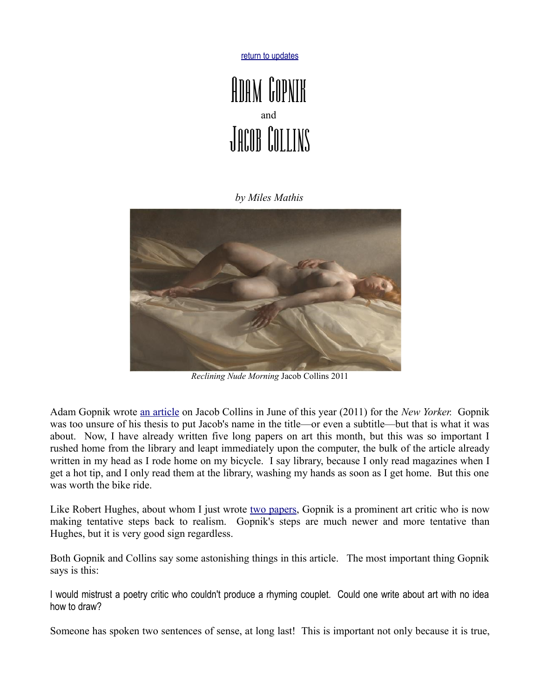[return to updates](http://mileswmathis.com/updates.html)



## *by Miles Mathis*



*Reclining Nude Morning* Jacob Collins 2011

Adam Gopnik wrote [an article](http://www.newyorker.com/reporting/2011/06/27/110627fa_fact_gopnik) on Jacob Collins in June of this year (2011) for the *New Yorker.* Gopnik was too unsure of his thesis to put Jacob's name in the title—or even a subtitle—but that is what it was about. Now, I have already written five long papers on art this month, but this was so important I rushed home from the library and leapt immediately upon the computer, the bulk of the article already written in my head as I rode home on my bicycle. I say library, because I only read magazines when I get a hot tip, and I only read them at the library, washing my hands as soon as I get home. But this one was worth the bike ride.

Like Robert Hughes, about whom I just wrote [two papers,](http://milewmathis.com/hughes.pdf) Gopnik is a prominent art critic who is now making tentative steps back to realism. Gopnik's steps are much newer and more tentative than Hughes, but it is very good sign regardless.

Both Gopnik and Collins say some astonishing things in this article. The most important thing Gopnik says is this:

I would mistrust a poetry critic who couldn't produce a rhyming couplet. Could one write about art with no idea how to draw?

Someone has spoken two sentences of sense, at long last! This is important not only because it is true,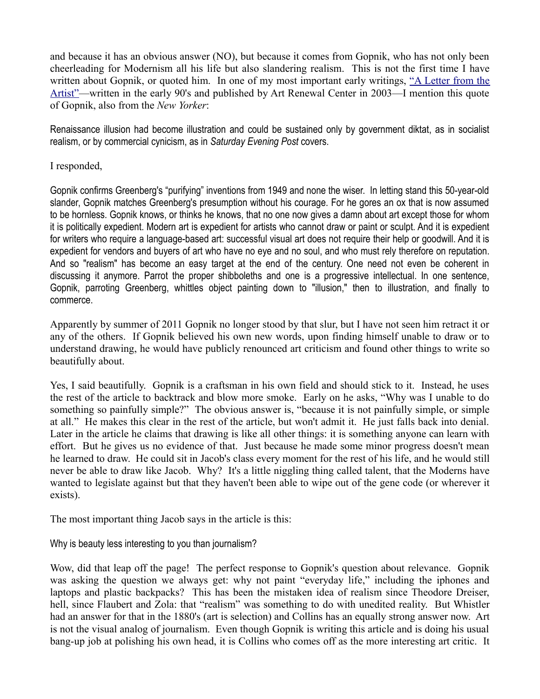and because it has an obvious answer (NO), but because it comes from Gopnik, who has not only been cheerleading for Modernism all his life but also slandering realism. This is not the first time I have written about Gopnik, or quoted him. In one of my most important early writings, ["A Letter from the](http://mileswmathis.com/la.html) [Artist"—](http://mileswmathis.com/la.html)written in the early 90's and published by Art Renewal Center in 2003—I mention this quote of Gopnik, also from the *New Yorker*:

Renaissance illusion had become illustration and could be sustained only by government diktat, as in socialist realism, or by commercial cynicism, as in *Saturday Evening Post* covers.

I responded,

Gopnik confirms Greenberg's "purifying" inventions from 1949 and none the wiser. In letting stand this 50-year-old slander, Gopnik matches Greenberg's presumption without his courage. For he gores an ox that is now assumed to be hornless. Gopnik knows, or thinks he knows, that no one now gives a damn about art except those for whom it is politically expedient. Modern art is expedient for artists who cannot draw or paint or sculpt. And it is expedient for writers who require a language-based art: successful visual art does not require their help or goodwill. And it is expedient for vendors and buyers of art who have no eye and no soul, and who must rely therefore on reputation. And so "realism" has become an easy target at the end of the century. One need not even be coherent in discussing it anymore. Parrot the proper shibboleths and one is a progressive intellectual. In one sentence, Gopnik, parroting Greenberg, whittles object painting down to "illusion," then to illustration, and finally to commerce.

Apparently by summer of 2011 Gopnik no longer stood by that slur, but I have not seen him retract it or any of the others. If Gopnik believed his own new words, upon finding himself unable to draw or to understand drawing, he would have publicly renounced art criticism and found other things to write so beautifully about.

Yes, I said beautifully. Gopnik is a craftsman in his own field and should stick to it. Instead, he uses the rest of the article to backtrack and blow more smoke. Early on he asks, "Why was I unable to do something so painfully simple?" The obvious answer is, "because it is not painfully simple, or simple at all." He makes this clear in the rest of the article, but won't admit it. He just falls back into denial. Later in the article he claims that drawing is like all other things: it is something anyone can learn with effort. But he gives us no evidence of that. Just because he made some minor progress doesn't mean he learned to draw. He could sit in Jacob's class every moment for the rest of his life, and he would still never be able to draw like Jacob. Why? It's a little niggling thing called talent, that the Moderns have wanted to legislate against but that they haven't been able to wipe out of the gene code (or wherever it exists).

The most important thing Jacob says in the article is this:

## Why is beauty less interesting to you than journalism?

Wow, did that leap off the page! The perfect response to Gopnik's question about relevance. Gopnik was asking the question we always get: why not paint "everyday life," including the iphones and laptops and plastic backpacks? This has been the mistaken idea of realism since Theodore Dreiser, hell, since Flaubert and Zola: that "realism" was something to do with unedited reality. But Whistler had an answer for that in the 1880's (art is selection) and Collins has an equally strong answer now. Art is not the visual analog of journalism. Even though Gopnik is writing this article and is doing his usual bang-up job at polishing his own head, it is Collins who comes off as the more interesting art critic. It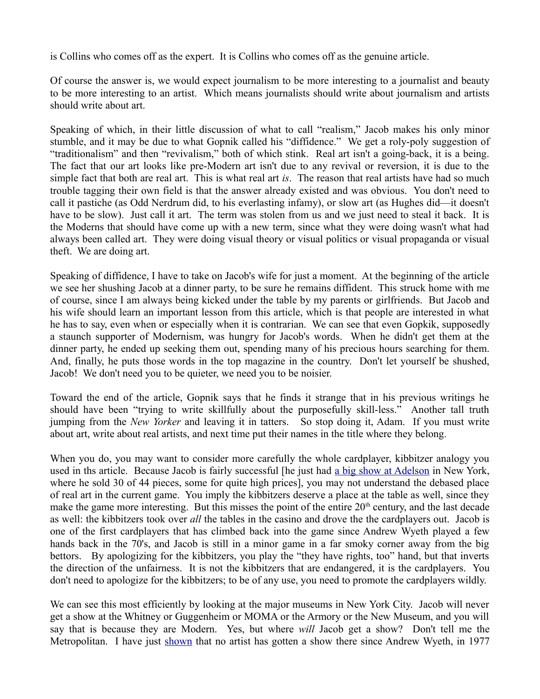is Collins who comes off as the expert. It is Collins who comes off as the genuine article.

Of course the answer is, we would expect journalism to be more interesting to a journalist and beauty to be more interesting to an artist. Which means journalists should write about journalism and artists should write about art.

Speaking of which, in their little discussion of what to call "realism," Jacob makes his only minor stumble, and it may be due to what Gopnik called his "diffidence." We get a roly-poly suggestion of "traditionalism" and then "revivalism," both of which stink. Real art isn't a going-back, it is a being. The fact that our art looks like pre-Modern art isn't due to any revival or reversion, it is due to the simple fact that both are real art. This is what real art *is*. The reason that real artists have had so much trouble tagging their own field is that the answer already existed and was obvious. You don't need to call it pastiche (as Odd Nerdrum did, to his everlasting infamy), or slow art (as Hughes did—it doesn't have to be slow). Just call it art. The term was stolen from us and we just need to steal it back. It is the Moderns that should have come up with a new term, since what they were doing wasn't what had always been called art. They were doing visual theory or visual politics or visual propaganda or visual theft. We are doing art.

Speaking of diffidence, I have to take on Jacob's wife for just a moment. At the beginning of the article we see her shushing Jacob at a dinner party, to be sure he remains diffident. This struck home with me of course, since I am always being kicked under the table by my parents or girlfriends. But Jacob and his wife should learn an important lesson from this article, which is that people are interested in what he has to say, even when or especially when it is contrarian. We can see that even Gopkik, supposedly a staunch supporter of Modernism, was hungry for Jacob's words. When he didn't get them at the dinner party, he ended up seeking them out, spending many of his precious hours searching for them. And, finally, he puts those words in the top magazine in the country. Don't let yourself be shushed, Jacob! We don't need you to be quieter, we need you to be noisier.

Toward the end of the article, Gopnik says that he finds it strange that in his previous writings he should have been "trying to write skillfully about the purposefully skill-less." Another tall truth jumping from the *New Yorker* and leaving it in tatters. So stop doing it, Adam. If you must write about art, write about real artists, and next time put their names in the title where they belong.

When you do, you may want to consider more carefully the whole cardplayer, kibbitzer analogy you used in ths article. Because Jacob is fairly successful [he just had [a big show at Adelson](http://www.adelsongalleries.com/exhibitions/2011-05-11_jacob-collins/) in New York, where he sold 30 of 44 pieces, some for quite high prices], you may not understand the debased place of real art in the current game. You imply the kibbitzers deserve a place at the table as well, since they make the game more interesting. But this misses the point of the entire  $20<sup>th</sup>$  century, and the last decade as well: the kibbitzers took over *all* the tables in the casino and drove the the cardplayers out. Jacob is one of the first cardplayers that has climbed back into the game since Andrew Wyeth played a few hands back in the 70's, and Jacob is still in a minor game in a far smoky corner away from the big bettors. By apologizing for the kibbitzers, you play the "they have rights, too" hand, but that inverts the direction of the unfairness. It is not the kibbitzers that are endangered, it is the cardplayers. You don't need to apologize for the kibbitzers; to be of any use, you need to promote the cardplayers wildly.

We can see this most efficiently by looking at the major museums in New York City. Jacob will never get a show at the Whitney or Guggenheim or MOMA or the Armory or the New Museum, and you will say that is because they are Modern. Yes, but where *will* Jacob get a show? Don't tell me the Metropolitan. I have just [shown](http://mileswmathis.com/monte.pdf) that no artist has gotten a show there since Andrew Wyeth, in 1977